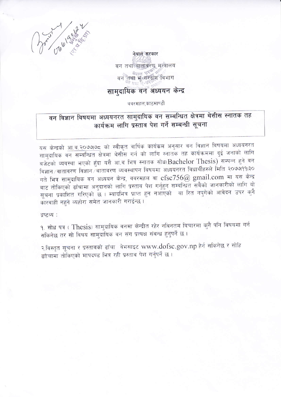

नेपाल सरकार वन तथा वातावरण मन्त्रालय वन तथा भूत्तसंरक्षण विभाग

## सामदायिक वन अध्ययन केन्द्र

ववरमहल,काठमाण्डौं

# वन विज्ञान विषयमा अध्ययनरत सामुदायिक वन सम्बन्धित क्षेत्रमा थेसीस स्नातक तह कार्यक्रम लागि प्रस्ताव पेश गर्ने सम्बन्धी सूचना

यस केन्द्रको आ.व.२०७७७८ को स्वीकृत वार्षिक कार्यकम अनुसार वन विज्ञान विषयमा अध्ययनरत सामुदायिक वन सम्बन्धित क्षेत्रमा थेसीस गर्न को लागि स्नातक तह कार्यक्रममा दुई जनाको लागि बजेटको व्यवस्था भएको हुँदा यसै आ.व भित्र स्नातक सोध(Bachelor Thesis) सम्पन्न हुने वन विज्ञान ∕ वातावरण विज्ञान ∕वातावरण व्यवस्थापन विषयमा अध्ययनरत विधार्थीहरुले मिति २०७७|११।३० गते भित्र सामदायिक वन अध्ययन केन्द्र, ववरमहल वा  $c\mathsf{fsc}{756}$ @ gmail.com मा यस केन्द्र बाट तोकिएको ढाँचामा अनुदानको लागि प्रस्ताव पेश गर्नुहुन सम्बन्धित सबैको जानकारीको लागि यो सूचना प्रकाशित गरिएको छ । म्यादभित्र प्राप्त हुन नआएको वा रित नपुगेको आवेदन उपर कुनै कारवाही नहने व्यहोरा समेत जानकारी गराईन्छ।

द्रष्टव्य :

१. सोध पत्र ( Thesis) सामुदायिक वनमा केन्द्रीत रहेर नविनतम विचारमा कुनै पनि विषयमा गर्न सकिनेछ तर सो विषय सामुदायिक वन संग प्रत्यक्ष संबन्ध हुनुपर्ने छ।

२.विस्तृत सूचना र प्रस्तावको ढाँचा वेभसाइट www.dofsc.gov.np हेर्न सकिनेछ र सोहि ढाँचामा तोकिएको मापदण्ड भित्र रही प्रस्ताव पेश गर्नुपर्ने छ।